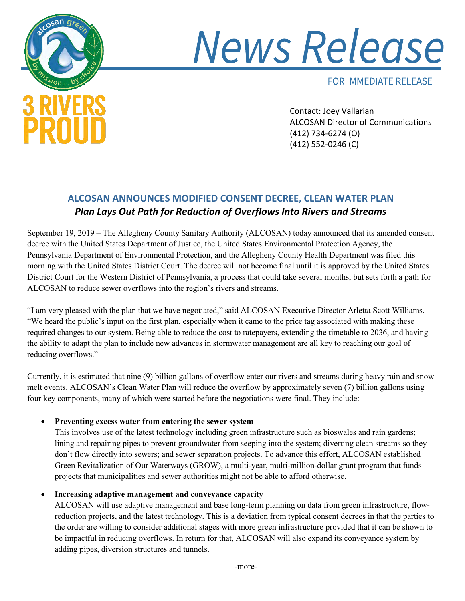

# **News Release**

**FOR IMMEDIATE RELEASE** 

 Contact: Joey Vallarian ALCOSAN Director of Communications (412) 734-6274 (O) (412) 552-0246 (C)

# **ALCOSAN ANNOUNCES MODIFIED CONSENT DECREE, CLEAN WATER PLAN**  *Plan Lays Out Path for Reduction of Overflows Into Rivers and Streams*

September 19, 2019 – The Allegheny County Sanitary Authority (ALCOSAN) today announced that its amended consent decree with the United States Department of Justice, the United States Environmental Protection Agency, the Pennsylvania Department of Environmental Protection, and the Allegheny County Health Department was filed this morning with the United States District Court. The decree will not become final until it is approved by the United States District Court for the Western District of Pennsylvania, a process that could take several months, but sets forth a path for ALCOSAN to reduce sewer overflows into the region's rivers and streams.

"I am very pleased with the plan that we have negotiated," said ALCOSAN Executive Director Arletta Scott Williams. "We heard the public's input on the first plan, especially when it came to the price tag associated with making these required changes to our system. Being able to reduce the cost to ratepayers, extending the timetable to 2036, and having the ability to adapt the plan to include new advances in stormwater management are all key to reaching our goal of reducing overflows."

Currently, it is estimated that nine (9) billion gallons of overflow enter our rivers and streams during heavy rain and snow melt events. ALCOSAN's Clean Water Plan will reduce the overflow by approximately seven (7) billion gallons using four key components, many of which were started before the negotiations were final. They include:

## • **Preventing excess water from entering the sewer system**

This involves use of the latest technology including green infrastructure such as bioswales and rain gardens; lining and repairing pipes to prevent groundwater from seeping into the system; diverting clean streams so they don't flow directly into sewers; and sewer separation projects. To advance this effort, ALCOSAN established Green Revitalization of Our Waterways (GROW), a multi-year, multi-million-dollar grant program that funds projects that municipalities and sewer authorities might not be able to afford otherwise.

# • **Increasing adaptive management and conveyance capacity**

ALCOSAN will use adaptive management and base long-term planning on data from green infrastructure, flowreduction projects, and the latest technology. This is a deviation from typical consent decrees in that the parties to the order are willing to consider additional stages with more green infrastructure provided that it can be shown to be impactful in reducing overflows. In return for that, ALCOSAN will also expand its conveyance system by adding pipes, diversion structures and tunnels.